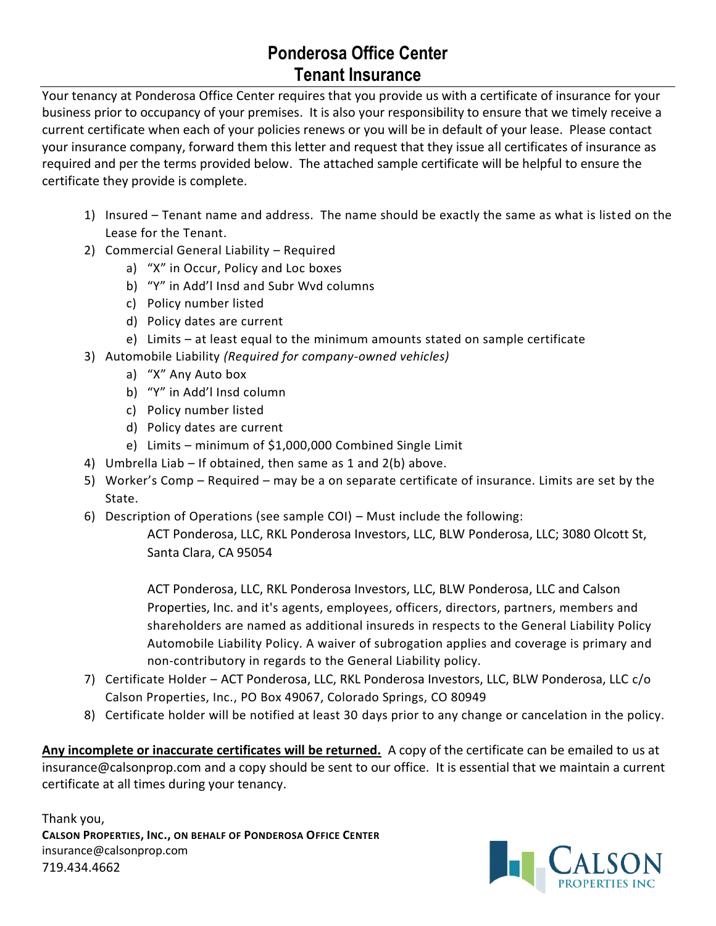## **Ponderosa Office Center Tenant Insurance**

Your tenancy at Ponderosa Office Center requires that you provide us with a certificate of insurance for your business prior to occupancy of your premises. It is also your responsibility to ensure that we timely receive a current certificate when each of your policies renews or you will be in default of your lease. Please contact your insurance company, forward them this letter and request that they issue all certificates of insurance as required and per the terms provided below. The attached sample certificate will be helpful to ensure the certificate they provide is complete.

- 1) Insured Tenant name and address. The name should be exactly the same as what is listed on the Lease for the Tenant.
- 2) Commercial General Liability Required
	- a) "X" in Occur, Policy and Loc boxes
	- b) "Y" in Add'l Insd and Subr Wvd columns
	- c) Policy number listed
	- d) Policy dates are current
	- e) Limits at least equal to the minimum amounts stated on sample certificate
- 3) Automobile Liability *(Required for company-owned vehicles)*
	- a) "X" Any Auto box
	- b) "Y" in Add'l Insd column
	- c) Policy number listed
	- d) Policy dates are current
	- e) Limits minimum of \$1,000,000 Combined Single Limit
- 4) Umbrella Liab If obtained, then same as 1 and 2(b) above.
- 5) Worker's Comp Required may be a on separate certificate of insurance. Limits are set by the State.
- 6) Description of Operations (see sample COI) Must include the following:

ACT Ponderosa, LLC, RKL Ponderosa Investors, LLC, BLW Ponderosa, LLC; 3080 Olcott St, Santa Clara, CA 95054

ACT Ponderosa, LLC, RKL Ponderosa Investors, LLC, BLW Ponderosa, LLC and Calson Properties, Inc. and it's agents, employees, officers, directors, partners, members and shareholders are named as additional insureds in respects to the General Liability Policy Automobile Liability Policy. A waiver of subrogation applies and coverage is primary and non-contributory in regards to the General Liability policy.

- 7) Certificate Holder ACT Ponderosa, LLC, RKL Ponderosa Investors, LLC, BLW Ponderosa, LLC c/o Calson Properties, Inc., PO Box 49067, Colorado Springs, CO 80949
- 8) Certificate holder will be notified at least 30 days prior to any change or cancelation in the policy.

**Any incomplete or inaccurate certificates will be returned.** A copy of the certificate can be emailed to us at insurance@calsonprop.com and a copy should be sent to our office. It is essential that we maintain a current certificate at all times during your tenancy.

Thank you, **CALSON PROPERTIES, INC., ON BEHALF OF PONDEROSA OFFICE CENTER** insurance@calsonprop.com 719.434.4662